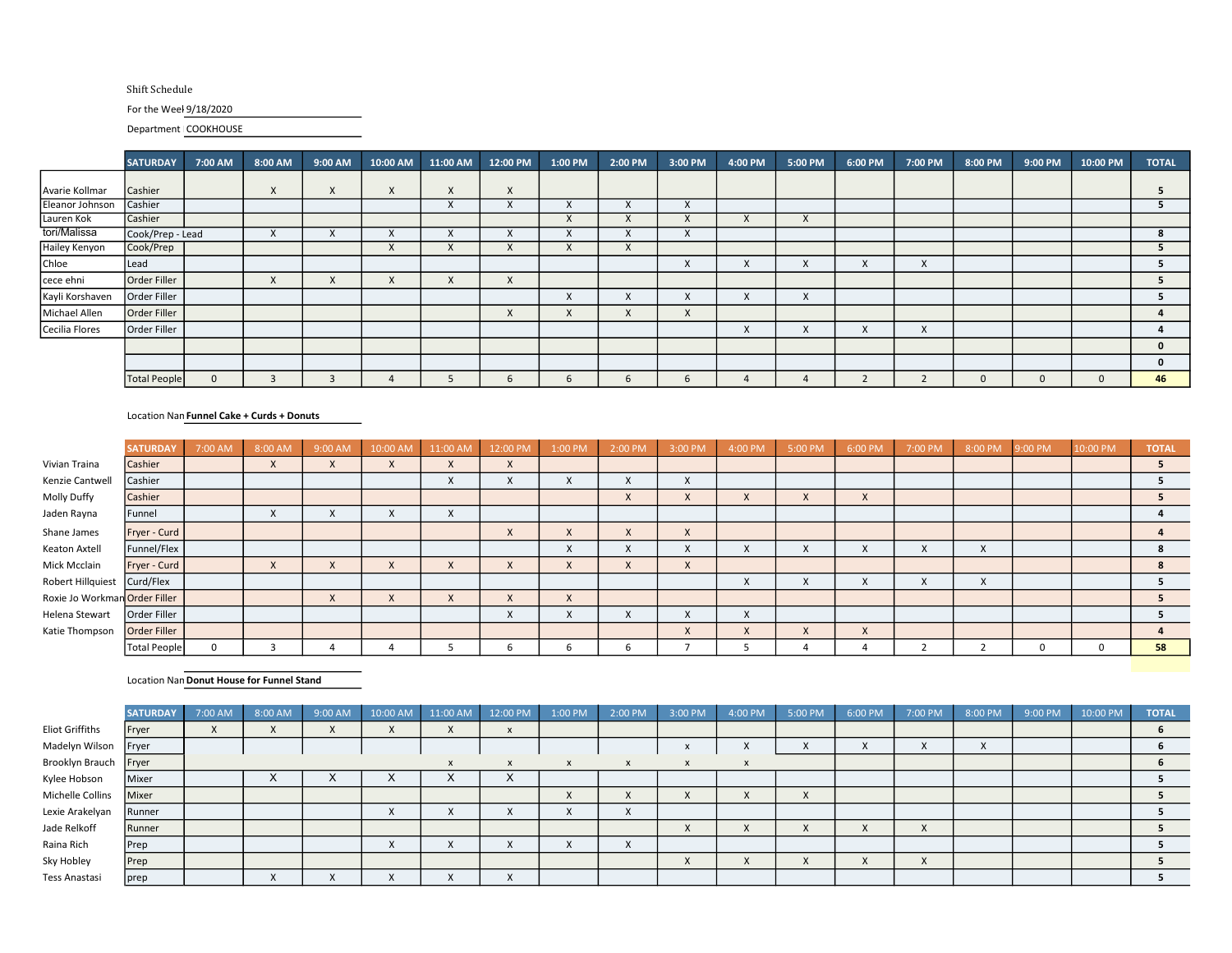## Shift Schedule

## For the Weel 9/18/2020

Department COOKHOUSE

|                 | <b>SATURDAY</b>     | 7:00 AM      | 8:00 AM      | 9:00 AM | 10:00 AM  | 11:00 AM  | 12:00 PM                  | 1:00 PM                   | 2:00 PM     | 3:00 PM   | 4:00 PM   | 5:00 PM      | 6:00 PM | 7:00 PM  | 8:00 PM | 9:00 PM | 10:00 PM | <b>TOTAL</b> |
|-----------------|---------------------|--------------|--------------|---------|-----------|-----------|---------------------------|---------------------------|-------------|-----------|-----------|--------------|---------|----------|---------|---------|----------|--------------|
|                 |                     |              |              |         |           |           |                           |                           |             |           |           |              |         |          |         |         |          |              |
| Avarie Kollmar  | Cashier             |              | $\mathsf{X}$ | x.      | $\lambda$ | $\lambda$ | X                         |                           |             |           |           |              |         |          |         |         |          | 5.           |
| Eleanor Johnson | Cashier             |              |              |         |           | $\lambda$ | $\mathbf{v}$<br>$\lambda$ | $\mathbf{v}$<br>$\lambda$ | X           | $\lambda$ |           |              |         |          |         |         |          |              |
| Lauren Kok      | Cashier             |              |              |         |           |           |                           | $\cdot$<br>$\lambda$      | X           | $\lambda$ | $\sim$    | $\mathsf{X}$ |         |          |         |         |          |              |
| tori/Malissa    | Cook/Prep - Lead    |              | X            | v       |           | $\lambda$ | $\lambda$                 | $\checkmark$<br>$\lambda$ | X           | $\lambda$ |           |              |         |          |         |         |          | 8            |
| Hailey Kenyon   | Cook/Prep           |              |              |         | $\lambda$ | $\lambda$ | $\mathsf{X}$              | X                         | X           |           |           |              |         |          |         |         |          |              |
| Chloe           | Lead                |              |              |         |           |           |                           |                           |             | X         | $\sim$    | X            | X       | X        |         |         |          |              |
| cece ehni       | Order Filler        |              | X            | X       | $\lambda$ | X         | $\mathsf{X}$              |                           |             |           |           |              |         |          |         |         |          | 5.           |
| Kayli Korshaven | Order Filler        |              |              |         |           |           |                           | X                         | X           | X         | $\lambda$ | X            |         |          |         |         |          |              |
| Michael Allen   | Order Filler        |              |              |         |           |           | $\times$                  | X                         | X           | X         |           |              |         |          |         |         |          |              |
| Cecilia Flores  | Order Filler        |              |              |         |           |           |                           |                           |             |           | $\lambda$ | X            | X       | $\times$ |         |         |          |              |
|                 |                     |              |              |         |           |           |                           |                           |             |           |           |              |         |          |         |         |          | $\mathbf{0}$ |
|                 |                     |              |              |         |           |           |                           |                           |             |           |           |              |         |          |         |         |          | $\mathbf{0}$ |
|                 | <b>Total People</b> | $\mathbf{0}$ |              |         |           |           | 6                         | 6                         | $\mathbf b$ | h         |           |              |         |          |         |         | $\Omega$ | 46           |

## Location Nan Funnel Cake + Curds + Donuts

|                               | <b>SATURDAY</b>     | 7:00 AM | 8:00 AM                   | 9:00 AM                | 10:00 AM                  | 11:00 AM     | 12:00 PM     | 1:00 PM      | 2:00 PM      | 3:00 PM                | 4:00 PM                   | 5:00 PM   | 6:00 PM                   | 7:00 PM                   | 8:00 PM | 9:00 PM | 10:00 PM | <b>TOTAL</b>   |
|-------------------------------|---------------------|---------|---------------------------|------------------------|---------------------------|--------------|--------------|--------------|--------------|------------------------|---------------------------|-----------|---------------------------|---------------------------|---------|---------|----------|----------------|
| Vivian Traina                 | Cashier             |         | $\lambda$                 | ∧                      | X                         | $\lambda$    | $\mathsf{X}$ |              |              |                        |                           |           |                           |                           |         |         |          | 5.             |
| Kenzie Cantwell               | Cashier             |         |                           |                        |                           | $\lambda$    | X            | X            | X            | X                      |                           |           |                           |                           |         |         |          |                |
| Molly Duffy                   | Cashier             |         |                           |                        |                           |              |              |              | $\times$     | $\lambda$<br>$\Lambda$ | $\lambda$                 | $\lambda$ | $\vee$<br>$\lambda$       |                           |         |         |          | э.             |
| Jaden Rayna                   | Funnel              |         | $\mathbf{v}$<br>$\lambda$ | $\lambda$<br>$\lambda$ | X                         | $\lambda$    |              |              |              |                        |                           |           |                           |                           |         |         |          |                |
| Shane James                   | Fryer - Curd        |         |                           |                        |                           |              | $\times$     | $\mathsf{X}$ | $\mathsf{x}$ | $\mathsf{X}$           |                           |           |                           |                           |         |         |          | $\overline{a}$ |
| Keaton Axtell                 | Funnel/Flex         |         |                           |                        |                           |              |              | X            | X            | X                      | $\Lambda$                 | $\lambda$ | $\mathbf v$<br>$\Lambda$  | $\boldsymbol{\mathsf{x}}$ | X       |         |          | 8              |
| Mick Mcclain                  | Fryer - Curd        |         | X                         | $\lambda$<br>$\lambda$ | $\checkmark$<br>$\lambda$ |              | $\lambda$    | $\times$     | $\times$     | X                      |                           |           |                           |                           |         |         |          | 8              |
| Robert Hillquiest Curd/Flex   |                     |         |                           |                        |                           |              |              |              |              |                        | $\lambda$                 |           | $\mathbf{v}$<br>$\lambda$ | $\mathbf{v}$<br>$\lambda$ | X       |         |          |                |
| Roxie Jo Workman Order Filler |                     |         |                           | $\mathsf{X}$           | X                         | $\mathsf{x}$ | X            | $\mathsf{X}$ |              |                        |                           |           |                           |                           |         |         |          |                |
| Helena Stewart                | Order Filler        |         |                           |                        |                           |              | $\times$     | X            | X            | X                      | $\mathbf{v}$<br>$\lambda$ |           |                           |                           |         |         |          |                |
| Katie Thompson                | <b>Order Filler</b> |         |                           |                        |                           |              |              |              |              | $\mathsf{X}$           | $\lambda$                 | $\lambda$ | $\mathsf{X}$              |                           |         |         |          |                |
|                               | <b>Total People</b> |         |                           |                        |                           |              | b            | b            |              |                        |                           |           |                           |                           |         |         |          | 58             |

Location Nan Donut House for Funnel Stand

|                        | <b>SATURDAY</b> | 7:00 AM   | 8:00 AM                | 9:00 AM       | 10:00 AM                | 11:00 AM  | 12:00 PM  | 1:00 PM                   | 2:00 PM                 | 3:00 PM                 | 4:00 PM      | 5:00 PM   | 6:00 PM | 7:00 PM           | 8:00 PM   | 9:00 PM | 10:00 PM | <b>TOTAL</b> |
|------------------------|-----------------|-----------|------------------------|---------------|-------------------------|-----------|-----------|---------------------------|-------------------------|-------------------------|--------------|-----------|---------|-------------------|-----------|---------|----------|--------------|
| <b>Eliot Griffiths</b> | Fryer           | $\lambda$ | $\Lambda$              | ∧             | $\lambda$               | v         | X         |                           |                         |                         |              |           |         |                   |           |         |          |              |
| Madelyn Wilson Fryer   |                 |           |                        |               |                         |           |           |                           |                         | $\lambda$               | ́            | $\Lambda$ |         | $\lambda$         | $\lambda$ |         |          |              |
| Brooklyn Brauch Fryer  |                 |           |                        |               |                         |           | X         | $\boldsymbol{\mathsf{x}}$ | X                       | X                       |              |           |         |                   |           |         |          |              |
| Kylee Hobson           | Mixer           |           | $\Lambda$              | $\Lambda$     | $\sim$                  | $\lambda$ | ∧         |                           |                         |                         |              |           |         |                   |           |         |          |              |
| Michelle Collins       | Mixer           |           |                        |               |                         |           |           | $\Lambda$                 | $\sqrt{ }$<br>$\lambda$ | $\sqrt{ }$<br>$\Lambda$ | $\cdot$<br>∧ | $\lambda$ |         |                   |           |         |          |              |
| Lexie Arakelyan        | Runner          |           |                        |               | $\lambda$<br>$\Lambda$  | $\lambda$ | $\lambda$ | $\lambda$<br>$\lambda$    | X                       |                         |              |           |         |                   |           |         |          |              |
| Jade Relkoff           | Runner          |           |                        |               |                         |           |           |                           |                         | $\sqrt{ }$<br>$\Lambda$ | X            | $\lambda$ |         | $\lambda$         |           |         |          |              |
| Raina Rich             | Prep            |           |                        |               | $\sqrt{ }$<br>$\lambda$ |           | $\lambda$ | X                         | X                       |                         |              |           |         |                   |           |         |          |              |
| Sky Hobley             | Prep            |           |                        |               |                         |           |           |                           |                         | $\lambda$<br>$\Lambda$  | $\cdot$<br>⋏ | $\lambda$ |         | $\mathbf{v}$<br>Λ |           |         |          |              |
| Tess Anastasi          | prep            |           | $\lambda$<br>$\Lambda$ | $\mathcal{L}$ | $\Lambda$               | $\lambda$ | $\lambda$ |                           |                         |                         |              |           |         |                   |           |         |          |              |